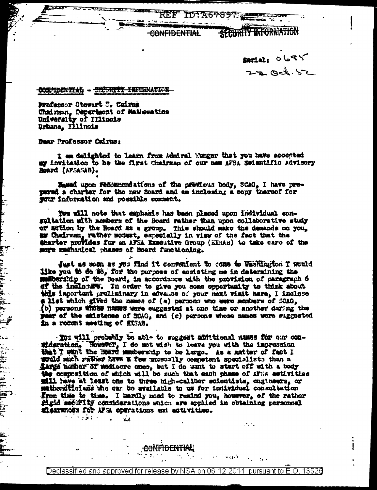CONFIDENTIAL

sarial: 0685  $22 - 066.52$ 

SECURITY INFORMATION

 $\mathcal{I}_\mathcal{A}$  .

## CONFIDENTIAL - CECURITY INFORMATION

Professor Stewart 7. Cairns Chairman, Department of Mathematics University of Illinois Urbana, Illinois

Dear Professor Cairns:

 $\sum_{i=1}^{n}$ 

iginalis<br>Secondo

D<br>∷∲

 $\mathbf{L}$ 

三三、

Ē.

I am delighted to learn from Admiral Menger that you have accopted my invitation to be the first Chairman of our new AFSA Scientific Advisory Board (APSASAB).

Bassed upon recommendations of the previous body, SCAG, I have prepared a charter for the new Board and am inclosing a copy thereof for your information and possible comment.

Tou will note that emphasis has been placed upon individual consultation with members of the Board rather than upon collaborative study of adtion by the Board as a group. This should make the demands on you, aw Chairman, rather modest, especially in view of the fact that the @harter provides for an AFSA Executive Group (EISAS) to take care of the more machanical phases of Board functioning.

Just as som as you find it convenient to come to Washington I would like you to do wo, for the purpose of assisting me in determining the minorship of the Board, in accordance with the provision of paragraph 6 of the indicture. In order to give you some opportunity to think about this important prollainary in advance of your next visit here, I inclose # list which gives the names of (a) persons who were members of SCAO, (b) persons whose numes were suggested at one time or another during the year of the existence of SCAG, and (c) persons whose names were suggested in a recent meeting of EXSAB.

- You will probably be able to suggest affittional names for our consideration. However, I do not wish to leave you with the impression that I wint the Board membership to be large. As a matter of fact I would much rather have a few unusually competent specialists than a darge mither of metiocro ones, but I do want to start off with a body the composition of which will be such that each phase of AFSA estivities will have at least one to three high-caliber scientists, engineers, or mathemiticians who can be available to us for individual consultation from time to time. I hardly need to remind you, however, of the rather Mgid security considerations which are applied in obtaining personnel sierances for AFRA operations and activities.  $\mathcal{L} = \{ \mathbf{y}_i, \mathbf{y}_j \}_{j \in \mathbb{N}}$ 

Declassified and approved for release by NSA on 06-12-2014 pursuant to E.O. 13526

 $\mathbf{x},t$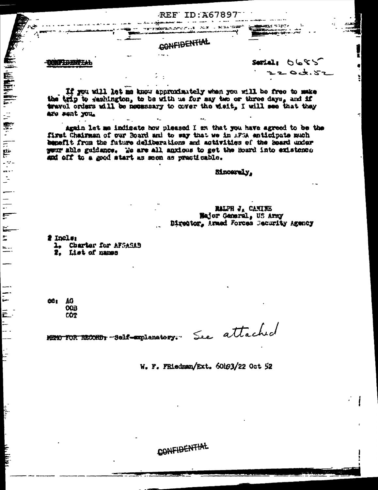CONFIDENTIAL

 $-$ 

**REF ID:A67897** 

torped the Li

**ALLES DESIGNATIONS CONSULTING CONTINUES.** 

 $\frac{1}{1}$ 

 $\mathbf{F}$ 

Ē.  $\ddot{z}$ 

 $= -$ 

 $\frac{1}{2}$ 

Ē

 $\equiv$ 

 $52200$ Serial:  $202.52$ 

빍

÷.

If you will let me know approximately when you will be free to make the trip to sashington, to be with us for say two or three days, and if travel orders will be necessary to cover the wistt. I will see that they are sent you.

Again let me indigate how pleased I am that you have agreed to be the first Chairman of our Board and to way that we in AFSA anticipate much benefit from the future deliberations and activities of the Sourd under wour able guidance. We are all anxious to get the Board into existence and off to a good start as soon as practicable.

Sinoarely.

RALPH J, CANINE Hajor Gameral, US Army Director, Armed Forces Security Agency

# Incls:

1. Charter for AFSASAB

2. List of names

ĆĈ I ÁĞ **OOB** COT

See attached

MENO FOR RECORD: "Self-explanatory."

W. F. FRiedman/Ext. 60h93/22 Oct 52

CONFIDENTIAL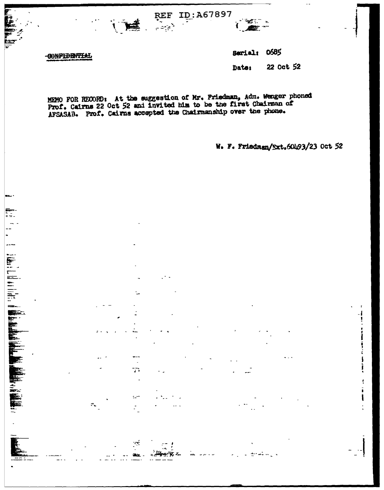ID: A67897 **REF** 



₿s.

Ų

T.

 $\mathbb{Z}$ 

 $\mathcal{L}$ æ.

 $\mathcal{C}_\mathbf{L}$ 

Serial: 0685

≠ਾ

≈

22 Oct 52 Date:

MEMO FOR RECORD: At the suggestion of Mr. Friedman, Adm. Wenger phoned Prof. Cairns 22 Oct 52 and invited him to be the first Chairman of AFSASAB. Prof. Cairns accepted the Chairmanship over the phone.

W. F. Friedman/Ext.60493/23 Oct 52

J Ì